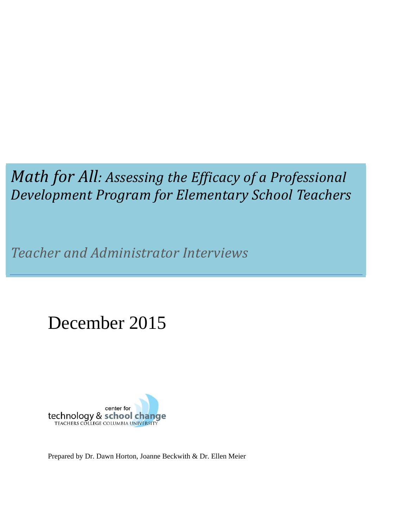# *Math for All: Assessing the Efficacy of a Professional Development Program for Elementary School Teachers*

*Teacher and Administrator Interviews*

# December 2015



Prepared by Dr. Dawn Horton, Joanne Beckwith & Dr. Ellen Meier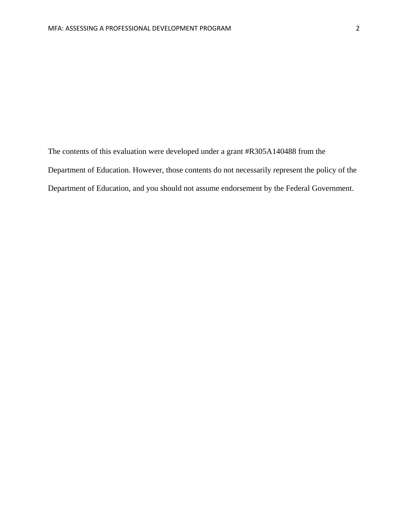The contents of this evaluation were developed under a grant #R305A140488 from the Department of Education. However, those contents do not necessarily represent the policy of the Department of Education, and you should not assume endorsement by the Federal Government.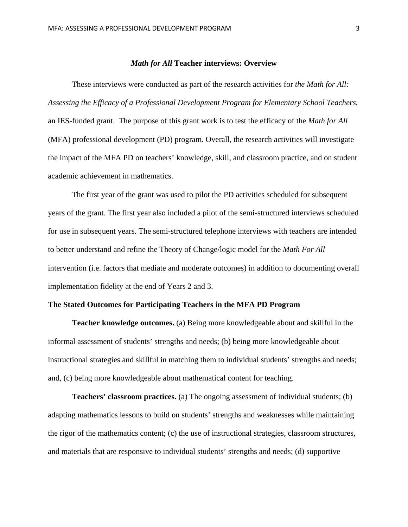#### *Math for All* **Teacher interviews: Overview**

These interviews were conducted as part of the research activities for *the Math for All: Assessing the Efficacy of a Professional Development Program for Elementary School Teachers*, an IES-funded grant. The purpose of this grant work is to test the efficacy of the *Math for All* (MFA) professional development (PD) program. Overall, the research activities will investigate the impact of the MFA PD on teachers' knowledge, skill, and classroom practice, and on student academic achievement in mathematics.

The first year of the grant was used to pilot the PD activities scheduled for subsequent years of the grant. The first year also included a pilot of the semi-structured interviews scheduled for use in subsequent years. The semi-structured telephone interviews with teachers are intended to better understand and refine the Theory of Change/logic model for the *Math For All*  intervention (i.e. factors that mediate and moderate outcomes) in addition to documenting overall implementation fidelity at the end of Years 2 and 3.

# **The Stated Outcomes for Participating Teachers in the MFA PD Program**

**Teacher knowledge outcomes.** (a) Being more knowledgeable about and skillful in the informal assessment of students' strengths and needs; (b) being more knowledgeable about instructional strategies and skillful in matching them to individual students' strengths and needs; and, (c) being more knowledgeable about mathematical content for teaching.

**Teachers' classroom practices.** (a) The ongoing assessment of individual students; (b) adapting mathematics lessons to build on students' strengths and weaknesses while maintaining the rigor of the mathematics content; (c) the use of instructional strategies, classroom structures, and materials that are responsive to individual students' strengths and needs; (d) supportive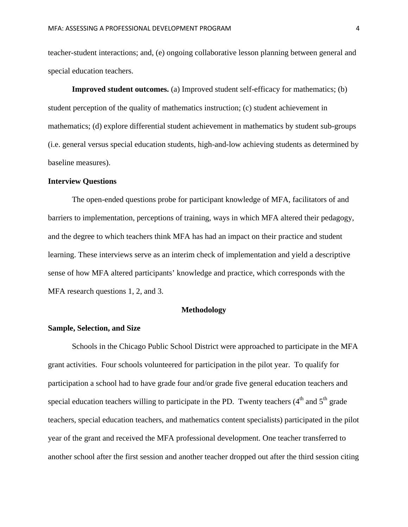teacher-student interactions; and, (e) ongoing collaborative lesson planning between general and special education teachers.

**Improved student outcomes.** (a) Improved student self-efficacy for mathematics; (b) student perception of the quality of mathematics instruction; (c) student achievement in mathematics; (d) explore differential student achievement in mathematics by student sub-groups (i.e. general versus special education students, high-and-low achieving students as determined by baseline measures).

#### **Interview Questions**

The open-ended questions probe for participant knowledge of MFA, facilitators of and barriers to implementation, perceptions of training, ways in which MFA altered their pedagogy, and the degree to which teachers think MFA has had an impact on their practice and student learning. These interviews serve as an interim check of implementation and yield a descriptive sense of how MFA altered participants' knowledge and practice, which corresponds with the MFA research questions 1, 2, and 3.

# **Methodology**

#### **Sample, Selection, and Size**

Schools in the Chicago Public School District were approached to participate in the MFA grant activities. Four schools volunteered for participation in the pilot year. To qualify for participation a school had to have grade four and/or grade five general education teachers and special education teachers willing to participate in the PD. Twenty teachers  $(4<sup>th</sup>$  and  $5<sup>th</sup>$  grade teachers, special education teachers, and mathematics content specialists) participated in the pilot year of the grant and received the MFA professional development. One teacher transferred to another school after the first session and another teacher dropped out after the third session citing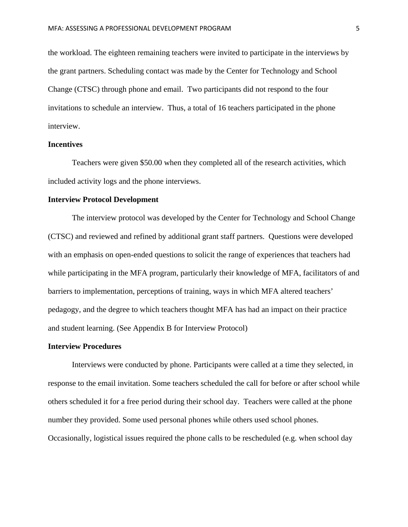the workload. The eighteen remaining teachers were invited to participate in the interviews by the grant partners. Scheduling contact was made by the Center for Technology and School Change (CTSC) through phone and email. Two participants did not respond to the four invitations to schedule an interview. Thus, a total of 16 teachers participated in the phone interview.

#### **Incentives**

Teachers were given \$50.00 when they completed all of the research activities, which included activity logs and the phone interviews.

#### **Interview Protocol Development**

The interview protocol was developed by the Center for Technology and School Change (CTSC) and reviewed and refined by additional grant staff partners. Questions were developed with an emphasis on open-ended questions to solicit the range of experiences that teachers had while participating in the MFA program, particularly their knowledge of MFA, facilitators of and barriers to implementation, perceptions of training, ways in which MFA altered teachers' pedagogy, and the degree to which teachers thought MFA has had an impact on their practice and student learning. (See Appendix B for Interview Protocol)

#### **Interview Procedures**

Interviews were conducted by phone. Participants were called at a time they selected, in response to the email invitation. Some teachers scheduled the call for before or after school while others scheduled it for a free period during their school day. Teachers were called at the phone number they provided. Some used personal phones while others used school phones. Occasionally, logistical issues required the phone calls to be rescheduled (e.g. when school day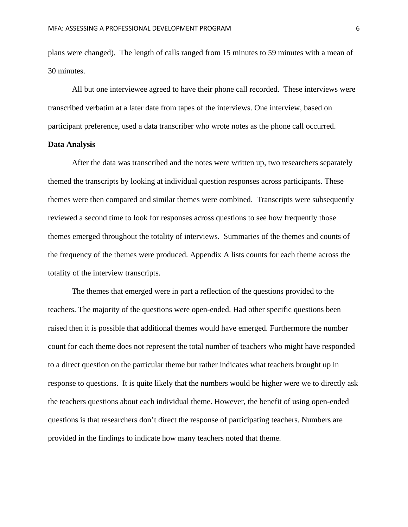plans were changed). The length of calls ranged from 15 minutes to 59 minutes with a mean of 30 minutes.

All but one interviewee agreed to have their phone call recorded. These interviews were transcribed verbatim at a later date from tapes of the interviews. One interview, based on participant preference, used a data transcriber who wrote notes as the phone call occurred.

# **Data Analysis**

After the data was transcribed and the notes were written up, two researchers separately themed the transcripts by looking at individual question responses across participants. These themes were then compared and similar themes were combined. Transcripts were subsequently reviewed a second time to look for responses across questions to see how frequently those themes emerged throughout the totality of interviews. Summaries of the themes and counts of the frequency of the themes were produced. Appendix A lists counts for each theme across the totality of the interview transcripts.

The themes that emerged were in part a reflection of the questions provided to the teachers. The majority of the questions were open-ended. Had other specific questions been raised then it is possible that additional themes would have emerged. Furthermore the number count for each theme does not represent the total number of teachers who might have responded to a direct question on the particular theme but rather indicates what teachers brought up in response to questions. It is quite likely that the numbers would be higher were we to directly ask the teachers questions about each individual theme. However, the benefit of using open-ended questions is that researchers don't direct the response of participating teachers. Numbers are provided in the findings to indicate how many teachers noted that theme.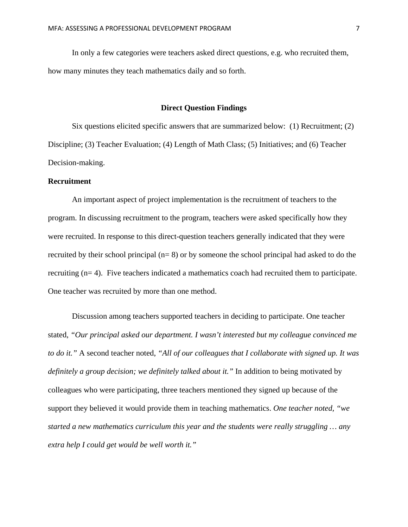In only a few categories were teachers asked direct questions, e.g. who recruited them, how many minutes they teach mathematics daily and so forth.

### **Direct Question Findings**

 Six questions elicited specific answers that are summarized below: (1) Recruitment; (2) Discipline; (3) Teacher Evaluation; (4) Length of Math Class; (5) Initiatives; and (6) Teacher Decision-making.

# **Recruitment**

An important aspect of project implementation is the recruitment of teachers to the program. In discussing recruitment to the program, teachers were asked specifically how they were recruited. In response to this direct-question teachers generally indicated that they were recruited by their school principal (n= 8) or by someone the school principal had asked to do the recruiting (n= 4). Five teachers indicated a mathematics coach had recruited them to participate. One teacher was recruited by more than one method.

Discussion among teachers supported teachers in deciding to participate. One teacher stated, *"Our principal asked our department. I wasn't interested but my colleague convinced me to do it."* A second teacher noted, *"All of our colleagues that I collaborate with signed up. It was definitely a group decision; we definitely talked about it."* In addition to being motivated by colleagues who were participating, three teachers mentioned they signed up because of the support they believed it would provide them in teaching mathematics. *One teacher noted, "we started a new mathematics curriculum this year and the students were really struggling … any extra help I could get would be well worth it."*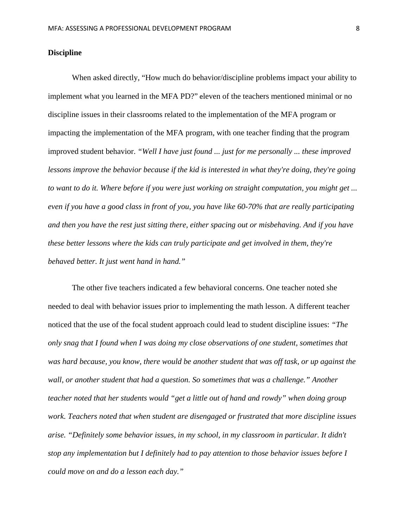# **Discipline**

When asked directly, "How much do behavior/discipline problems impact your ability to implement what you learned in the MFA PD?" eleven of the teachers mentioned minimal or no discipline issues in their classrooms related to the implementation of the MFA program or impacting the implementation of the MFA program, with one teacher finding that the program improved student behavior. *"Well I have just found ... just for me personally ... these improved lessons improve the behavior because if the kid is interested in what they're doing, they're going to want to do it. Where before if you were just working on straight computation, you might get ... even if you have a good class in front of you, you have like 60-70% that are really participating and then you have the rest just sitting there, either spacing out or misbehaving. And if you have these better lessons where the kids can truly participate and get involved in them, they're behaved better. It just went hand in hand."*

 The other five teachers indicated a few behavioral concerns. One teacher noted she needed to deal with behavior issues prior to implementing the math lesson. A different teacher noticed that the use of the focal student approach could lead to student discipline issues: *"The only snag that I found when I was doing my close observations of one student, sometimes that was hard because, you know, there would be another student that was off task, or up against the wall, or another student that had a question. So sometimes that was a challenge." Another teacher noted that her students would "get a little out of hand and rowdy" when doing group work. Teachers noted that when student are disengaged or frustrated that more discipline issues arise. "Definitely some behavior issues, in my school, in my classroom in particular. It didn't stop any implementation but I definitely had to pay attention to those behavior issues before I could move on and do a lesson each day."*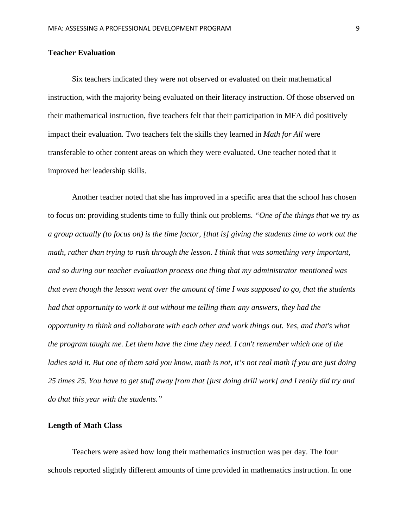# **Teacher Evaluation**

Six teachers indicated they were not observed or evaluated on their mathematical instruction, with the majority being evaluated on their literacy instruction. Of those observed on their mathematical instruction, five teachers felt that their participation in MFA did positively impact their evaluation. Two teachers felt the skills they learned in *Math for All* were transferable to other content areas on which they were evaluated. One teacher noted that it improved her leadership skills.

Another teacher noted that she has improved in a specific area that the school has chosen to focus on: providing students time to fully think out problems. *"One of the things that we try as a group actually (to focus on) is the time factor, [that is] giving the students time to work out the math, rather than trying to rush through the lesson. I think that was something very important, and so during our teacher evaluation process one thing that my administrator mentioned was that even though the lesson went over the amount of time I was supposed to go, that the students had that opportunity to work it out without me telling them any answers, they had the opportunity to think and collaborate with each other and work things out. Yes, and that's what the program taught me. Let them have the time they need. I can't remember which one of the ladies said it. But one of them said you know, math is not, it's not real math if you are just doing 25 times 25. You have to get stuff away from that [just doing drill work] and I really did try and do that this year with the students."*

# **Length of Math Class**

Teachers were asked how long their mathematics instruction was per day. The four schools reported slightly different amounts of time provided in mathematics instruction. In one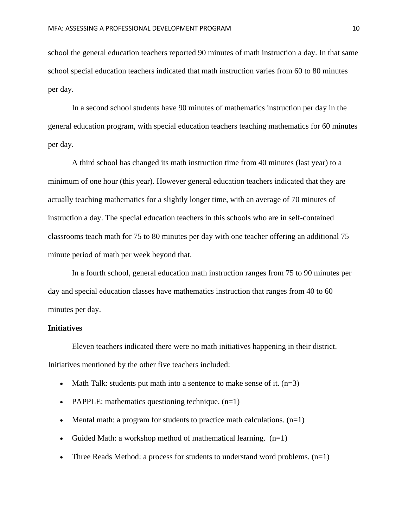school the general education teachers reported 90 minutes of math instruction a day. In that same school special education teachers indicated that math instruction varies from 60 to 80 minutes per day.

 In a second school students have 90 minutes of mathematics instruction per day in the general education program, with special education teachers teaching mathematics for 60 minutes per day.

 A third school has changed its math instruction time from 40 minutes (last year) to a minimum of one hour (this year). However general education teachers indicated that they are actually teaching mathematics for a slightly longer time, with an average of 70 minutes of instruction a day. The special education teachers in this schools who are in self-contained classrooms teach math for 75 to 80 minutes per day with one teacher offering an additional 75 minute period of math per week beyond that.

 In a fourth school, general education math instruction ranges from 75 to 90 minutes per day and special education classes have mathematics instruction that ranges from 40 to 60 minutes per day.

# **Initiatives**

 Eleven teachers indicated there were no math initiatives happening in their district. Initiatives mentioned by the other five teachers included:

- Math Talk: students put math into a sentence to make sense of it.  $(n=3)$
- PAPPLE: mathematics questioning technique.  $(n=1)$
- Mental math: a program for students to practice math calculations.  $(n=1)$
- Guided Math: a workshop method of mathematical learning.  $(n=1)$
- Three Reads Method: a process for students to understand word problems.  $(n=1)$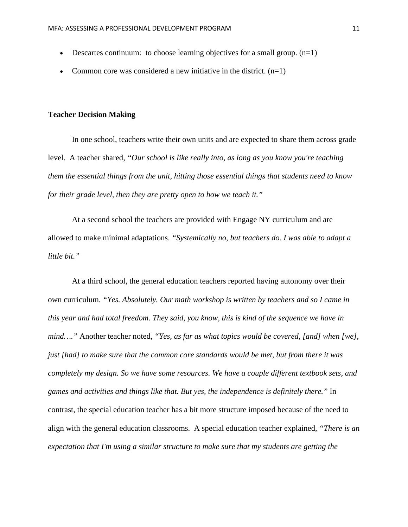- Descartes continuum: to choose learning objectives for a small group.  $(n=1)$
- Common core was considered a new initiative in the district.  $(n=1)$

#### **Teacher Decision Making**

In one school, teachers write their own units and are expected to share them across grade level. A teacher shared, *"Our school is like really into, as long as you know you're teaching them the essential things from the unit, hitting those essential things that students need to know for their grade level, then they are pretty open to how we teach it."* 

At a second school the teachers are provided with Engage NY curriculum and are allowed to make minimal adaptations. *"Systemically no, but teachers do. I was able to adapt a little bit."*

At a third school, the general education teachers reported having autonomy over their own curriculum. *"Yes. Absolutely. Our math workshop is written by teachers and so I came in this year and had total freedom. They said, you know, this is kind of the sequence we have in mind…."* Another teacher noted, *"Yes, as far as what topics would be covered, [and] when [we], just [had] to make sure that the common core standards would be met, but from there it was completely my design. So we have some resources. We have a couple different textbook sets, and games and activities and things like that. But yes, the independence is definitely there."* In contrast, the special education teacher has a bit more structure imposed because of the need to align with the general education classrooms. A special education teacher explained, *"There is an expectation that I'm using a similar structure to make sure that my students are getting the*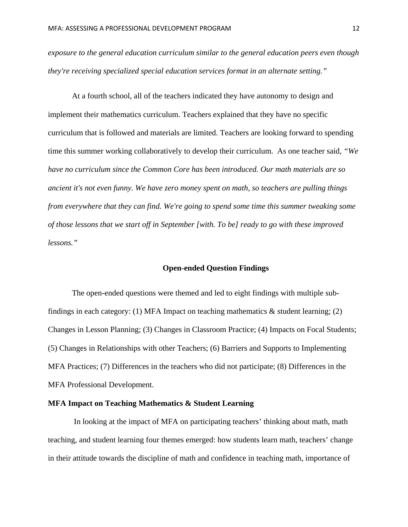*exposure to the general education curriculum similar to the general education peers even though they're receiving specialized special education services format in an alternate setting."*

At a fourth school, all of the teachers indicated they have autonomy to design and implement their mathematics curriculum. Teachers explained that they have no specific curriculum that is followed and materials are limited. Teachers are looking forward to spending time this summer working collaboratively to develop their curriculum. As one teacher said, *"We have no curriculum since the Common Core has been introduced. Our math materials are so ancient it's not even funny. We have zero money spent on math, so teachers are pulling things from everywhere that they can find. We're going to spend some time this summer tweaking some of those lessons that we start off in September [with. To be] ready to go with these improved lessons."*

#### **Open-ended Question Findings**

The open-ended questions were themed and led to eight findings with multiple subfindings in each category: (1) MFA Impact on teaching mathematics  $\&$  student learning; (2) Changes in Lesson Planning; (3) Changes in Classroom Practice; (4) Impacts on Focal Students; (5) Changes in Relationships with other Teachers; (6) Barriers and Supports to Implementing MFA Practices; (7) Differences in the teachers who did not participate; (8) Differences in the MFA Professional Development.

# **MFA Impact on Teaching Mathematics & Student Learning**

In looking at the impact of MFA on participating teachers' thinking about math, math teaching, and student learning four themes emerged: how students learn math, teachers' change in their attitude towards the discipline of math and confidence in teaching math, importance of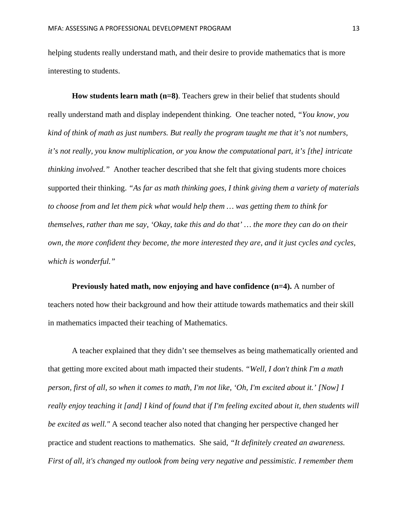helping students really understand math, and their desire to provide mathematics that is more interesting to students.

**How students learn math (n=8)**. Teachers grew in their belief that students should really understand math and display independent thinking. One teacher noted, *"You know, you kind of think of math as just numbers. But really the program taught me that it's not numbers, it's not really, you know multiplication, or you know the computational part, it's [the] intricate thinking involved."* Another teacher described that she felt that giving students more choices supported their thinking. *"As far as math thinking goes, I think giving them a variety of materials to choose from and let them pick what would help them … was getting them to think for themselves, rather than me say, 'Okay, take this and do that' … the more they can do on their own, the more confident they become, the more interested they are, and it just cycles and cycles, which is wonderful."*

**Previously hated math, now enjoying and have confidence (n=4).** A number of teachers noted how their background and how their attitude towards mathematics and their skill in mathematics impacted their teaching of Mathematics.

A teacher explained that they didn't see themselves as being mathematically oriented and that getting more excited about math impacted their students. *"Well, I don't think I'm a math person, first of all, so when it comes to math, I'm not like, 'Oh, I'm excited about it.' [Now] I really enjoy teaching it [and] I kind of found that if I'm feeling excited about it, then students will be excited as well."* A second teacher also noted that changing her perspective changed her practice and student reactions to mathematics. She said, *"It definitely created an awareness. First of all, it's changed my outlook from being very negative and pessimistic. I remember them*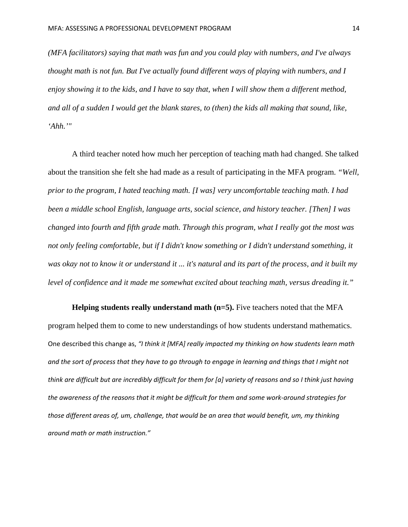*(MFA facilitators) saying that math was fun and you could play with numbers, and I've always thought math is not fun. But I've actually found different ways of playing with numbers, and I enjoy showing it to the kids, and I have to say that, when I will show them a different method, and all of a sudden I would get the blank stares, to (then) the kids all making that sound, like, 'Ahh.'"*

A third teacher noted how much her perception of teaching math had changed. She talked about the transition she felt she had made as a result of participating in the MFA program. *"Well, prior to the program, I hated teaching math. [I was] very uncomfortable teaching math. I had been a middle school English, language arts, social science, and history teacher. [Then] I was changed into fourth and fifth grade math. Through this program, what I really got the most was not only feeling comfortable, but if I didn't know something or I didn't understand something, it was okay not to know it or understand it ... it's natural and its part of the process, and it built my level of confidence and it made me somewhat excited about teaching math, versus dreading it."* 

**Helping students really understand math (n=5).** Five teachers noted that the MFA program helped them to come to new understandings of how students understand mathematics. One described this change as, *"I think it [MFA] really impacted my thinking on how students learn math* and the sort of process that they have to go through to engage in learning and things that I might not think are difficult but are incredibly difficult for them for [a] variety of reasons and so I think just having the awareness of the reasons that it might be difficult for them and some work-around strategies for *those different areas of, um, challenge, that would be an area that would benefit, um, my thinking around math or math instruction."*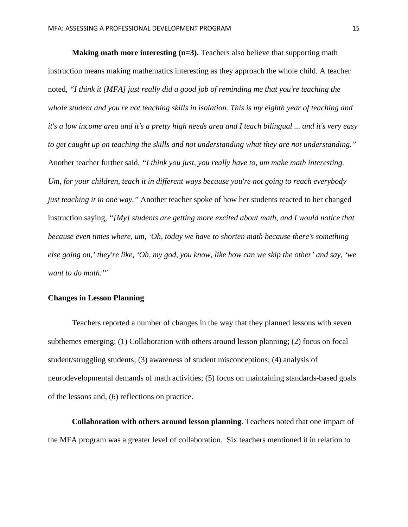**Making math more interesting (n=3).** Teachers also believe that supporting math instruction means making mathematics interesting as they approach the whole child. A teacher noted, *"I think it [MFA] just really did a good job of reminding me that you're teaching the whole student and you're not teaching skills in isolation. This is my eighth year of teaching and it's a low income area and it's a pretty high needs area and I teach bilingual ... and it's very easy to get caught up on teaching the skills and not understanding what they are not understanding."* Another teacher further said, *"I think you just, you really have to, um make math interesting. Um, for your children, teach it in different ways because you're not going to reach everybody just teaching it in one way."* Another teacher spoke of how her students reacted to her changed instruction saying, *"[My] students are getting more excited about math, and I would notice that because even times where, um, 'Oh, today we have to shorten math because there's something else going on,' they're like, 'Oh, my god, you know, like how can we skip the other' and say, 'we want to do math.'"*

# **Changes in Lesson Planning**

Teachers reported a number of changes in the way that they planned lessons with seven subthemes emerging: (1) Collaboration with others around lesson planning; (2) focus on focal student/struggling students; (3) awareness of student misconceptions; (4) analysis of neurodevelopmental demands of math activities; (5) focus on maintaining standards-based goals of the lessons and, (6) reflections on practice.

**Collaboration with others around lesson planning**. Teachers noted that one impact of the MFA program was a greater level of collaboration. Six teachers mentioned it in relation to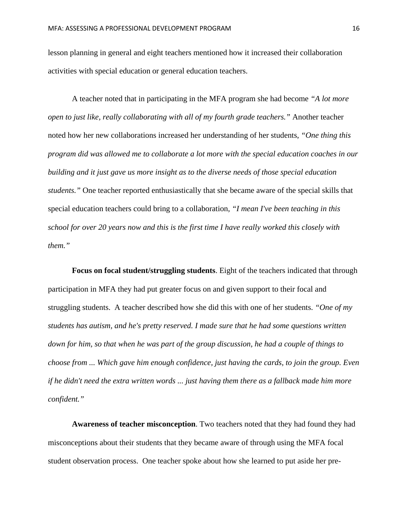lesson planning in general and eight teachers mentioned how it increased their collaboration activities with special education or general education teachers.

A teacher noted that in participating in the MFA program she had become *"A lot more open to just like, really collaborating with all of my fourth grade teachers."* Another teacher noted how her new collaborations increased her understanding of her students, *"One thing this program did was allowed me to collaborate a lot more with the special education coaches in our building and it just gave us more insight as to the diverse needs of those special education students."* One teacher reported enthusiastically that she became aware of the special skills that special education teachers could bring to a collaboration, *"I mean I've been teaching in this school for over 20 years now and this is the first time I have really worked this closely with them."* 

**Focus on focal student/struggling students**. Eight of the teachers indicated that through participation in MFA they had put greater focus on and given support to their focal and struggling students. A teacher described how she did this with one of her students. *"One of my students has autism, and he's pretty reserved. I made sure that he had some questions written down for him, so that when he was part of the group discussion, he had a couple of things to choose from ... Which gave him enough confidence, just having the cards, to join the group. Even if he didn't need the extra written words ... just having them there as a fallback made him more confident."* 

**Awareness of teacher misconception**. Two teachers noted that they had found they had misconceptions about their students that they became aware of through using the MFA focal student observation process. One teacher spoke about how she learned to put aside her pre-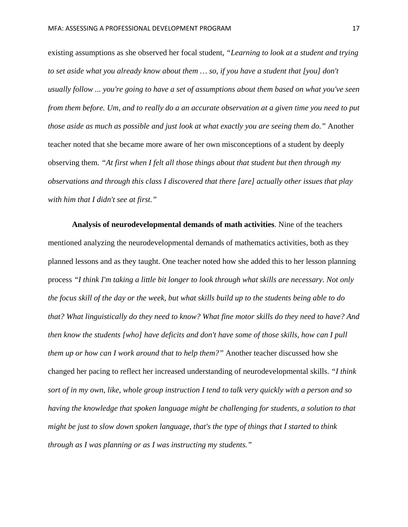existing assumptions as she observed her focal student, *"Learning to look at a student and trying to set aside what you already know about them … so, if you have a student that [you] don't usually follow ... you're going to have a set of assumptions about them based on what you've seen from them before. Um, and to really do a an accurate observation at a given time you need to put those aside as much as possible and just look at what exactly you are seeing them do."* Another teacher noted that she became more aware of her own misconceptions of a student by deeply observing them. *"At first when I felt all those things about that student but then through my observations and through this class I discovered that there [are] actually other issues that play with him that I didn't see at first."*

**Analysis of neurodevelopmental demands of math activities**. Nine of the teachers mentioned analyzing the neurodevelopmental demands of mathematics activities, both as they planned lessons and as they taught. One teacher noted how she added this to her lesson planning process *"I think I'm taking a little bit longer to look through what skills are necessary. Not only the focus skill of the day or the week, but what skills build up to the students being able to do that? What linguistically do they need to know? What fine motor skills do they need to have? And then know the students [who] have deficits and don't have some of those skills, how can I pull them up or how can I work around that to help them?"* Another teacher discussed how she changed her pacing to reflect her increased understanding of neurodevelopmental skills. *"I think sort of in my own, like, whole group instruction I tend to talk very quickly with a person and so having the knowledge that spoken language might be challenging for students, a solution to that might be just to slow down spoken language, that's the type of things that I started to think through as I was planning or as I was instructing my students."*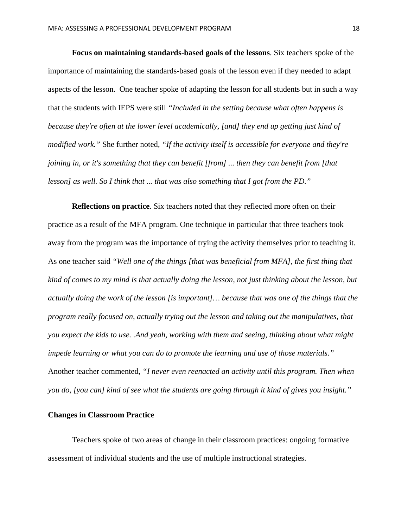**Focus on maintaining standards-based goals of the lessons**. Six teachers spoke of the importance of maintaining the standards-based goals of the lesson even if they needed to adapt aspects of the lesson. One teacher spoke of adapting the lesson for all students but in such a way that the students with IEPS were still *"Included in the setting because what often happens is because they're often at the lower level academically, [and] they end up getting just kind of modified work."* She further noted, *"If the activity itself is accessible for everyone and they're joining in, or it's something that they can benefit [from] ... then they can benefit from [that lesson] as well. So I think that ... that was also something that I got from the PD."*

**Reflections on practice**. Six teachers noted that they reflected more often on their practice as a result of the MFA program. One technique in particular that three teachers took away from the program was the importance of trying the activity themselves prior to teaching it. As one teacher said *"Well one of the things [that was beneficial from MFA], the first thing that kind of comes to my mind is that actually doing the lesson, not just thinking about the lesson, but actually doing the work of the lesson [is important]… because that was one of the things that the program really focused on, actually trying out the lesson and taking out the manipulatives, that you expect the kids to use. .And yeah, working with them and seeing, thinking about what might impede learning or what you can do to promote the learning and use of those materials."* Another teacher commented, *"I never even reenacted an activity until this program. Then when you do, [you can] kind of see what the students are going through it kind of gives you insight."*

# **Changes in Classroom Practice**

Teachers spoke of two areas of change in their classroom practices: ongoing formative assessment of individual students and the use of multiple instructional strategies.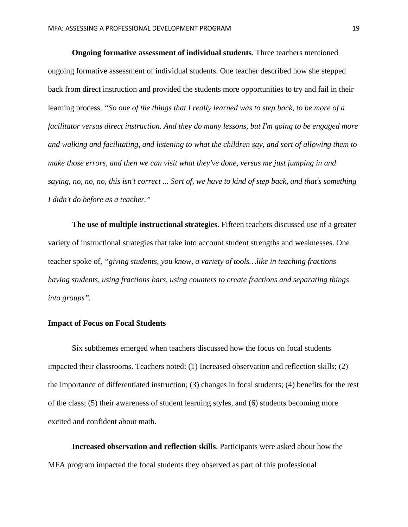**Ongoing formative assessment of individual students**. Three teachers mentioned ongoing formative assessment of individual students. One teacher described how she stepped back from direct instruction and provided the students more opportunities to try and fail in their learning process. *"So one of the things that I really learned was to step back, to be more of a facilitator versus direct instruction. And they do many lessons, but I'm going to be engaged more and walking and facilitating, and listening to what the children say, and sort of allowing them to make those errors, and then we can visit what they've done, versus me just jumping in and saying, no, no, no, this isn't correct ... Sort of, we have to kind of step back, and that's something I didn't do before as a teacher."*

**The use of multiple instructional strategies**. Fifteen teachers discussed use of a greater variety of instructional strategies that take into account student strengths and weaknesses. One teacher spoke of*, "giving students, you know, a variety of tools…like in teaching fractions having students, using fractions bars, using counters to create fractions and separating things into groups".* 

# **Impact of Focus on Focal Students**

Six subthemes emerged when teachers discussed how the focus on focal students impacted their classrooms. Teachers noted: (1) Increased observation and reflection skills; (2) the importance of differentiated instruction; (3) changes in focal students; (4) benefits for the rest of the class; (5) their awareness of student learning styles, and (6) students becoming more excited and confident about math.

**Increased observation and reflection skills**. Participants were asked about how the MFA program impacted the focal students they observed as part of this professional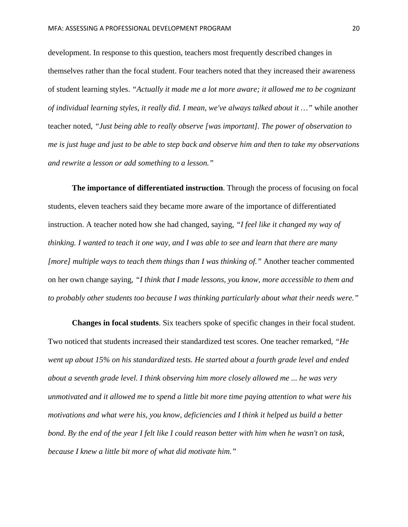development. In response to this question, teachers most frequently described changes in themselves rather than the focal student. Four teachers noted that they increased their awareness of student learning styles. *"Actually it made me a lot more aware; it allowed me to be cognizant of individual learning styles, it really did. I mean, we've always talked about it …"* while another teacher noted, *"Just being able to really observe [was important]. The power of observation to me is just huge and just to be able to step back and observe him and then to take my observations and rewrite a lesson or add something to a lesson."*

**The importance of differentiated instruction**. Through the process of focusing on focal students, eleven teachers said they became more aware of the importance of differentiated instruction. A teacher noted how she had changed, saying, *"I feel like it changed my way of thinking. I wanted to teach it one way, and I was able to see and learn that there are many [more] multiple ways to teach them things than I was thinking of."* Another teacher commented on her own change saying, *"I think that I made lessons, you know, more accessible to them and to probably other students too because I was thinking particularly about what their needs were."*

**Changes in focal students**. Six teachers spoke of specific changes in their focal student. Two noticed that students increased their standardized test scores. One teacher remarked, *"He went up about 15% on his standardized tests. He started about a fourth grade level and ended about a seventh grade level. I think observing him more closely allowed me ... he was very unmotivated and it allowed me to spend a little bit more time paying attention to what were his motivations and what were his, you know, deficiencies and I think it helped us build a better bond. By the end of the year I felt like I could reason better with him when he wasn't on task, because I knew a little bit more of what did motivate him."*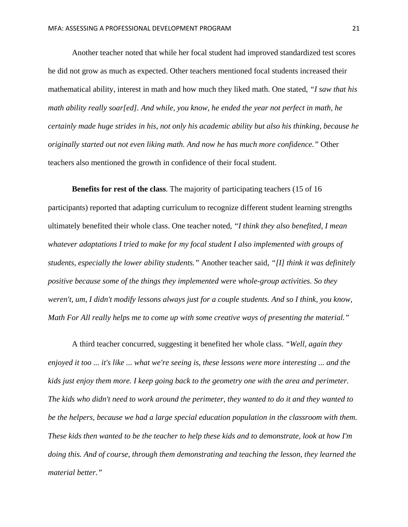Another teacher noted that while her focal student had improved standardized test scores he did not grow as much as expected. Other teachers mentioned focal students increased their mathematical ability, interest in math and how much they liked math. One stated, *"I saw that his math ability really soar[ed]. And while, you know, he ended the year not perfect in math, he certainly made huge strides in his, not only his academic ability but also his thinking, because he originally started out not even liking math. And now he has much more confidence."* Other teachers also mentioned the growth in confidence of their focal student.

**Benefits for rest of the class**. The majority of participating teachers (15 of 16 participants) reported that adapting curriculum to recognize different student learning strengths ultimately benefited their whole class. One teacher noted, *"I think they also benefited, I mean whatever adaptations I tried to make for my focal student I also implemented with groups of students, especially the lower ability students."* Another teacher said, *"[I] think it was definitely positive because some of the things they implemented were whole-group activities. So they weren't, um, I didn't modify lessons always just for a couple students. And so I think, you know, Math For All really helps me to come up with some creative ways of presenting the material."*

A third teacher concurred, suggesting it benefited her whole class. *"Well, again they enjoyed it too ... it's like ... what we're seeing is, these lessons were more interesting ... and the kids just enjoy them more. I keep going back to the geometry one with the area and perimeter. The kids who didn't need to work around the perimeter, they wanted to do it and they wanted to be the helpers, because we had a large special education population in the classroom with them. These kids then wanted to be the teacher to help these kids and to demonstrate, look at how I'm doing this. And of course, through them demonstrating and teaching the lesson, they learned the material better."*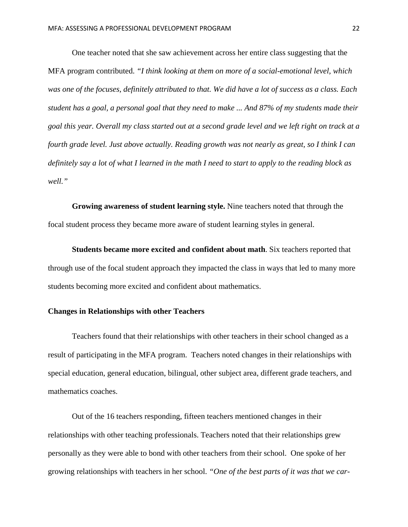One teacher noted that she saw achievement across her entire class suggesting that the MFA program contributed. *"I think looking at them on more of a social-emotional level, which was one of the focuses, definitely attributed to that. We did have a lot of success as a class. Each student has a goal, a personal goal that they need to make ... And 87% of my students made their goal this year. Overall my class started out at a second grade level and we left right on track at a fourth grade level. Just above actually. Reading growth was not nearly as great, so I think I can definitely say a lot of what I learned in the math I need to start to apply to the reading block as well."*

**Growing awareness of student learning style.** Nine teachers noted that through the focal student process they became more aware of student learning styles in general.

**Students became more excited and confident about math**. Six teachers reported that through use of the focal student approach they impacted the class in ways that led to many more students becoming more excited and confident about mathematics.

# **Changes in Relationships with other Teachers**

Teachers found that their relationships with other teachers in their school changed as a result of participating in the MFA program. Teachers noted changes in their relationships with special education, general education, bilingual, other subject area, different grade teachers, and mathematics coaches.

Out of the 16 teachers responding, fifteen teachers mentioned changes in their relationships with other teaching professionals. Teachers noted that their relationships grew personally as they were able to bond with other teachers from their school. One spoke of her growing relationships with teachers in her school. *"One of the best parts of it was that we car-*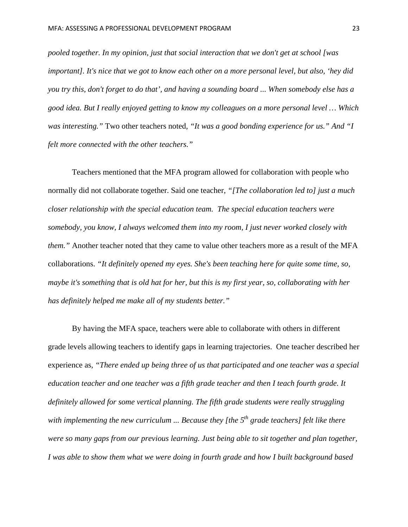*pooled together. In my opinion, just that social interaction that we don't get at school [was important]. It's nice that we got to know each other on a more personal level, but also, 'hey did you try this, don't forget to do that', and having a sounding board ... When somebody else has a good idea. But I really enjoyed getting to know my colleagues on a more personal level … Which was interesting."* Two other teachers noted*, "It was a good bonding experience for us." And "I felt more connected with the other teachers."*

Teachers mentioned that the MFA program allowed for collaboration with people who normally did not collaborate together. Said one teacher, *"[The collaboration led to] just a much closer relationship with the special education team. The special education teachers were somebody, you know, I always welcomed them into my room, I just never worked closely with them."* Another teacher noted that they came to value other teachers more as a result of the MFA collaborations. *"It definitely opened my eyes. She's been teaching here for quite some time, so, maybe it's something that is old hat for her, but this is my first year, so, collaborating with her has definitely helped me make all of my students better."*

By having the MFA space, teachers were able to collaborate with others in different grade levels allowing teachers to identify gaps in learning trajectories. One teacher described her experience as, *"There ended up being three of us that participated and one teacher was a special education teacher and one teacher was a fifth grade teacher and then I teach fourth grade. It definitely allowed for some vertical planning. The fifth grade students were really struggling with implementing the new curriculum ... Because they [the 5<sup>th</sup> grade teachers] felt like there were so many gaps from our previous learning. Just being able to sit together and plan together, I was able to show them what we were doing in fourth grade and how I built background based*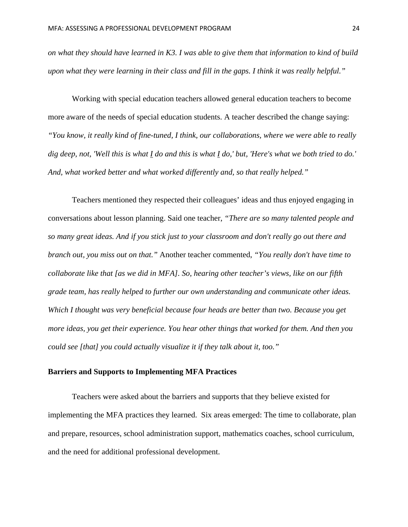*on what they should have learned in K3. I was able to give them that information to kind of build upon what they were learning in their class and fill in the gaps. I think it was really helpful."*

Working with special education teachers allowed general education teachers to become more aware of the needs of special education students. A teacher described the change saying: *"You know, it really kind of fine-tuned, I think, our collaborations, where we were able to really dig deep, not, 'Well this is what I do and this is what I do,' but, 'Here's what we both tried to do.' And, what worked better and what worked differently and, so that really helped."*

Teachers mentioned they respected their colleagues' ideas and thus enjoyed engaging in conversations about lesson planning. Said one teacher, *"There are so many talented people and so many great ideas. And if you stick just to your classroom and don't really go out there and branch out, you miss out on that."* Another teacher commented, *"You really don't have time to collaborate like that [as we did in MFA]. So, hearing other teacher's views, like on our fifth grade team, has really helped to further our own understanding and communicate other ideas. Which I thought was very beneficial because four heads are better than two. Because you get more ideas, you get their experience. You hear other things that worked for them. And then you could see [that] you could actually visualize it if they talk about it, too."*

#### **Barriers and Supports to Implementing MFA Practices**

 Teachers were asked about the barriers and supports that they believe existed for implementing the MFA practices they learned. Six areas emerged: The time to collaborate, plan and prepare, resources, school administration support, mathematics coaches, school curriculum, and the need for additional professional development.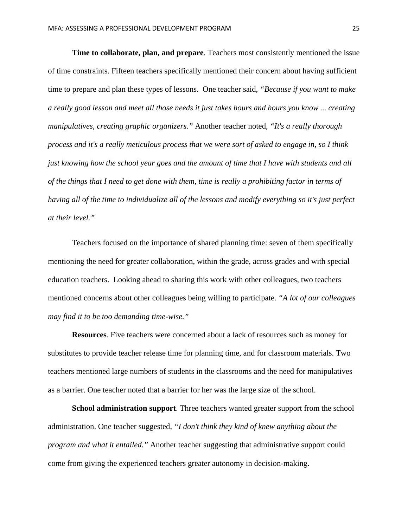**Time to collaborate, plan, and prepare**. Teachers most consistently mentioned the issue of time constraints. Fifteen teachers specifically mentioned their concern about having sufficient time to prepare and plan these types of lessons. One teacher said*, "Because if you want to make a really good lesson and meet all those needs it just takes hours and hours you know ... creating manipulatives, creating graphic organizers."* Another teacher noted, *"It's a really thorough process and it's a really meticulous process that we were sort of asked to engage in, so I think just knowing how the school year goes and the amount of time that I have with students and all of the things that I need to get done with them, time is really a prohibiting factor in terms of having all of the time to individualize all of the lessons and modify everything so it's just perfect at their level."*

 Teachers focused on the importance of shared planning time: seven of them specifically mentioning the need for greater collaboration, within the grade, across grades and with special education teachers. Looking ahead to sharing this work with other colleagues, two teachers mentioned concerns about other colleagues being willing to participate. *"A lot of our colleagues may find it to be too demanding time-wise."*

**Resources**. Five teachers were concerned about a lack of resources such as money for substitutes to provide teacher release time for planning time, and for classroom materials. Two teachers mentioned large numbers of students in the classrooms and the need for manipulatives as a barrier. One teacher noted that a barrier for her was the large size of the school.

**School administration support**. Three teachers wanted greater support from the school administration. One teacher suggested, *"I don't think they kind of knew anything about the program and what it entailed."* Another teacher suggesting that administrative support could come from giving the experienced teachers greater autonomy in decision-making.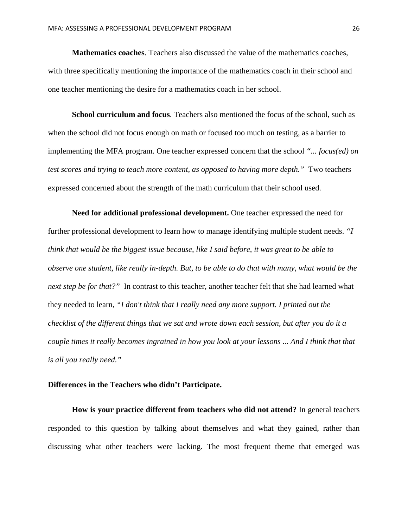**Mathematics coaches**. Teachers also discussed the value of the mathematics coaches, with three specifically mentioning the importance of the mathematics coach in their school and one teacher mentioning the desire for a mathematics coach in her school.

**School curriculum and focus**. Teachers also mentioned the focus of the school, such as when the school did not focus enough on math or focused too much on testing, as a barrier to implementing the MFA program. One teacher expressed concern that the school *"... focus(ed) on test scores and trying to teach more content, as opposed to having more depth."* Two teachers expressed concerned about the strength of the math curriculum that their school used.

 **Need for additional professional development.** One teacher expressed the need for further professional development to learn how to manage identifying multiple student needs. *"I think that would be the biggest issue because, like I said before, it was great to be able to observe one student, like really in-depth. But, to be able to do that with many, what would be the next step be for that?*" In contrast to this teacher, another teacher felt that she had learned what they needed to learn, *"I don't think that I really need any more support. I printed out the checklist of the different things that we sat and wrote down each session, but after you do it a couple times it really becomes ingrained in how you look at your lessons ... And I think that that is all you really need."*

# **Differences in the Teachers who didn't Participate.**

**How is your practice different from teachers who did not attend?** In general teachers responded to this question by talking about themselves and what they gained, rather than discussing what other teachers were lacking. The most frequent theme that emerged was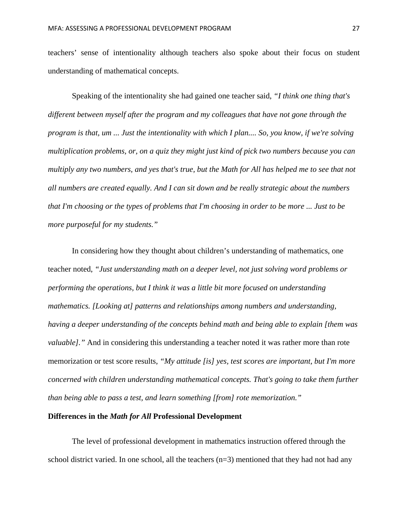teachers' sense of intentionality although teachers also spoke about their focus on student understanding of mathematical concepts.

 Speaking of the intentionality she had gained one teacher said, *"I think one thing that's different between myself after the program and my colleagues that have not gone through the program is that, um ... Just the intentionality with which I plan.... So, you know, if we're solving multiplication problems, or, on a quiz they might just kind of pick two numbers because you can multiply any two numbers, and yes that's true, but the Math for All has helped me to see that not all numbers are created equally. And I can sit down and be really strategic about the numbers that I'm choosing or the types of problems that I'm choosing in order to be more ... Just to be more purposeful for my students."*

In considering how they thought about children's understanding of mathematics, one teacher noted, *"Just understanding math on a deeper level, not just solving word problems or performing the operations, but I think it was a little bit more focused on understanding mathematics. [Looking at] patterns and relationships among numbers and understanding, having a deeper understanding of the concepts behind math and being able to explain [them was valuable].*" And in considering this understanding a teacher noted it was rather more than rote memorization or test score results, *"My attitude [is] yes, test scores are important, but I'm more concerned with children understanding mathematical concepts. That's going to take them further than being able to pass a test, and learn something [from] rote memorization."*

#### **Differences in the** *Math for All* **Professional Development**

The level of professional development in mathematics instruction offered through the school district varied. In one school, all the teachers (n=3) mentioned that they had not had any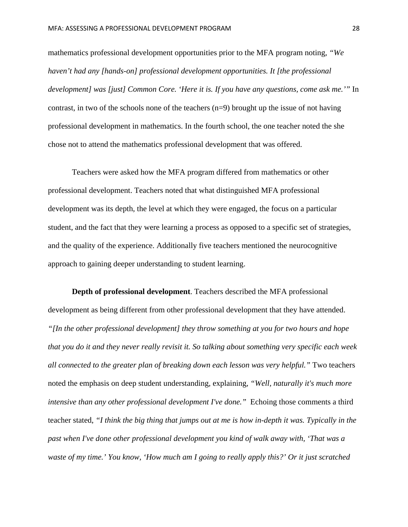mathematics professional development opportunities prior to the MFA program noting, *"We haven't had any [hands-on] professional development opportunities. It [the professional development] was [just] Common Core. 'Here it is. If you have any questions, come ask me.'"* In contrast, in two of the schools none of the teachers (n=9) brought up the issue of not having professional development in mathematics. In the fourth school, the one teacher noted the she chose not to attend the mathematics professional development that was offered.

Teachers were asked how the MFA program differed from mathematics or other professional development. Teachers noted that what distinguished MFA professional development was its depth, the level at which they were engaged, the focus on a particular student, and the fact that they were learning a process as opposed to a specific set of strategies, and the quality of the experience. Additionally five teachers mentioned the neurocognitive approach to gaining deeper understanding to student learning.

**Depth of professional development**. Teachers described the MFA professional development as being different from other professional development that they have attended. *"[In the other professional development] they throw something at you for two hours and hope that you do it and they never really revisit it. So talking about something very specific each week all connected to the greater plan of breaking down each lesson was very helpful."* Two teachers noted the emphasis on deep student understanding, explaining, *"Well, naturally it's much more intensive than any other professional development I've done.*" Echoing those comments a third teacher stated, *"I think the big thing that jumps out at me is how in-depth it was. Typically in the past when I've done other professional development you kind of walk away with, 'That was a waste of my time.' You know, 'How much am I going to really apply this?' Or it just scratched*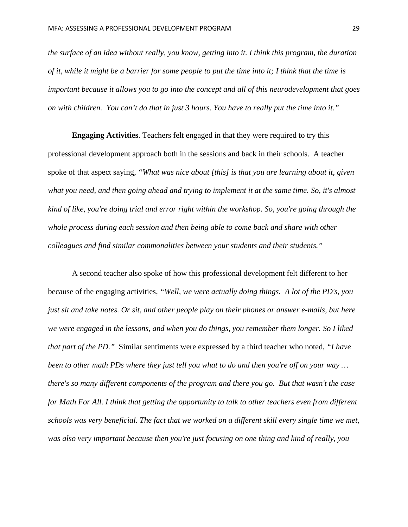*the surface of an idea without really, you know, getting into it. I think this program, the duration of it, while it might be a barrier for some people to put the time into it; I think that the time is important because it allows you to go into the concept and all of this neurodevelopment that goes on with children. You can't do that in just 3 hours. You have to really put the time into it."*

 **Engaging Activities**. Teachers felt engaged in that they were required to try this professional development approach both in the sessions and back in their schools. A teacher spoke of that aspect saying, *"What was nice about [this] is that you are learning about it, given what you need, and then going ahead and trying to implement it at the same time. So, it's almost kind of like, you're doing trial and error right within the workshop. So, you're going through the whole process during each session and then being able to come back and share with other colleagues and find similar commonalities between your students and their students."*

A second teacher also spoke of how this professional development felt different to her because of the engaging activities, *"Well, we were actually doing things. A lot of the PD's, you just sit and take notes. Or sit, and other people play on their phones or answer e-mails, but here we were engaged in the lessons, and when you do things, you remember them longer. So I liked that part of the PD."* Similar sentiments were expressed by a third teacher who noted, *"I have been to other math PDs where they just tell you what to do and then you're off on your way … there's so many different components of the program and there you go. But that wasn't the case for Math For All. I think that getting the opportunity to talk to other teachers even from different schools was very beneficial. The fact that we worked on a different skill every single time we met, was also very important because then you're just focusing on one thing and kind of really, you*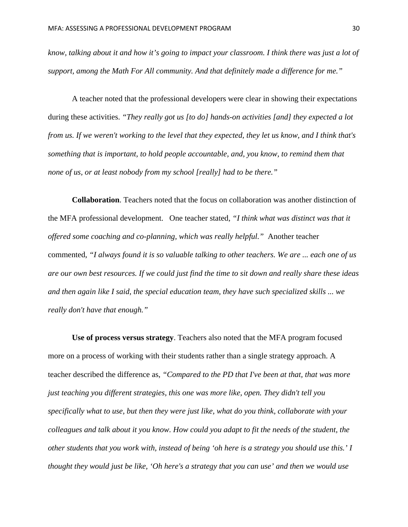*know, talking about it and how it's going to impact your classroom. I think there was just a lot of support, among the Math For All community. And that definitely made a difference for me."* 

A teacher noted that the professional developers were clear in showing their expectations during these activities. *"They really got us [to do] hands-on activities [and] they expected a lot from us. If we weren't working to the level that they expected, they let us know, and I think that's something that is important, to hold people accountable, and, you know, to remind them that none of us, or at least nobody from my school [really] had to be there."*

**Collaboration**. Teachers noted that the focus on collaboration was another distinction of the MFA professional development. One teacher stated*, "I think what was distinct was that it offered some coaching and co-planning, which was really helpful."* Another teacher commented, *"I always found it is so valuable talking to other teachers. We are ... each one of us are our own best resources. If we could just find the time to sit down and really share these ideas and then again like I said, the special education team, they have such specialized skills ... we really don't have that enough."*

**Use of process versus strategy**. Teachers also noted that the MFA program focused more on a process of working with their students rather than a single strategy approach. A teacher described the difference as, *"Compared to the PD that I've been at that, that was more just teaching you different strategies, this one was more like, open. They didn't tell you specifically what to use, but then they were just like, what do you think, collaborate with your colleagues and talk about it you know. How could you adapt to fit the needs of the student, the other students that you work with, instead of being 'oh here is a strategy you should use this.' I thought they would just be like, 'Oh here's a strategy that you can use' and then we would use*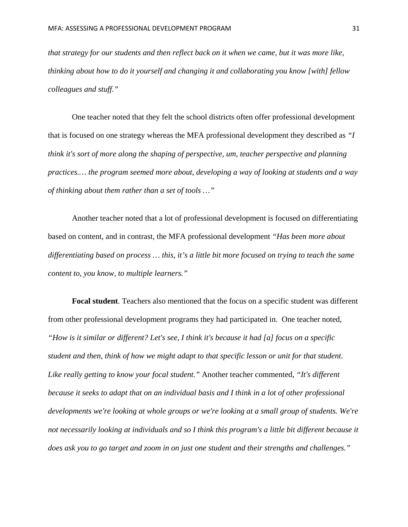*that strategy for our students and then reflect back on it when we came, but it was more like, thinking about how to do it yourself and changing it and collaborating you know [with] fellow colleagues and stuff."*

One teacher noted that they felt the school districts often offer professional development that is focused on one strategy whereas the MFA professional development they described as *"I think it's sort of more along the shaping of perspective, um, teacher perspective and planning practices.… the program seemed more about, developing a way of looking at students and a way of thinking about them rather than a set of tools …"* 

Another teacher noted that a lot of professional development is focused on differentiating based on content, and in contrast, the MFA professional development *"Has been more about differentiating based on process … this, it's a little bit more focused on trying to teach the same content to, you know, to multiple learners."* 

**Focal student**. Teachers also mentioned that the focus on a specific student was different from other professional development programs they had participated in. One teacher noted, *"How is it similar or different? Let's see, I think it's because it had [a] focus on a specific student and then, think of how we might adapt to that specific lesson or unit for that student. Like really getting to know your focal student."* Another teacher commented, *"It's different because it seeks to adapt that on an individual basis and I think in a lot of other professional developments we're looking at whole groups or we're looking at a small group of students. We're not necessarily looking at individuals and so I think this program's a little bit different because it does ask you to go target and zoom in on just one student and their strengths and challenges."*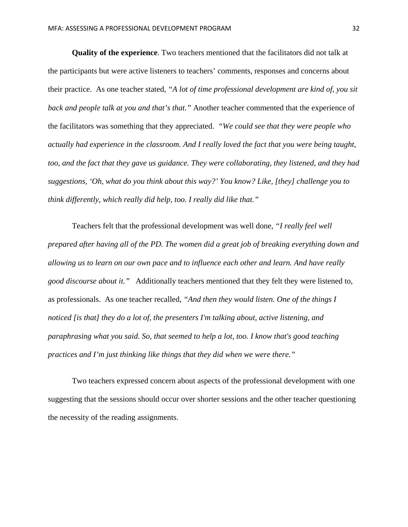**Quality of the experience**. Two teachers mentioned that the facilitators did not talk at the participants but were active listeners to teachers' comments, responses and concerns about their practice. As one teacher stated, *"A lot of time professional development are kind of, you sit back and people talk at you and that's that."* Another teacher commented that the experience of the facilitators was something that they appreciated. *"We could see that they were people who actually had experience in the classroom. And I really loved the fact that you were being taught, too, and the fact that they gave us guidance. They were collaborating, they listened, and they had suggestions, 'Oh, what do you think about this way?' You know? Like, [they] challenge you to think differently, which really did help, too. I really did like that."*

Teachers felt that the professional development was well done, *"I really feel well prepared after having all of the PD. The women did a great job of breaking everything down and allowing us to learn on our own pace and to influence each other and learn. And have really good discourse about it."* Additionally teachers mentioned that they felt they were listened to, as professionals. As one teacher recalled, *"And then they would listen. One of the things I noticed [is that] they do a lot of, the presenters I'm talking about, active listening, and paraphrasing what you said. So, that seemed to help a lot, too. I know that's good teaching practices and I'm just thinking like things that they did when we were there."*

 Two teachers expressed concern about aspects of the professional development with one suggesting that the sessions should occur over shorter sessions and the other teacher questioning the necessity of the reading assignments.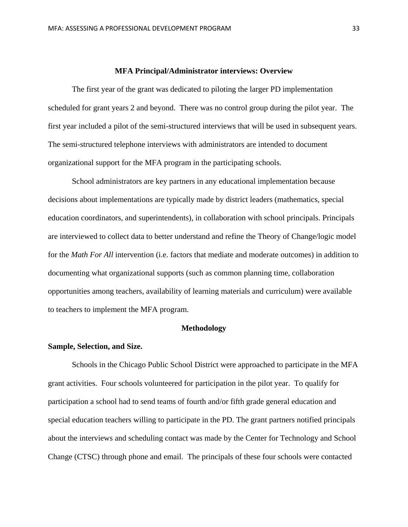#### **MFA Principal/Administrator interviews: Overview**

The first year of the grant was dedicated to piloting the larger PD implementation scheduled for grant years 2 and beyond. There was no control group during the pilot year. The first year included a pilot of the semi-structured interviews that will be used in subsequent years. The semi-structured telephone interviews with administrators are intended to document organizational support for the MFA program in the participating schools.

School administrators are key partners in any educational implementation because decisions about implementations are typically made by district leaders (mathematics, special education coordinators, and superintendents), in collaboration with school principals. Principals are interviewed to collect data to better understand and refine the Theory of Change/logic model for the *Math For All* intervention (i.e. factors that mediate and moderate outcomes) in addition to documenting what organizational supports (such as common planning time, collaboration opportunities among teachers, availability of learning materials and curriculum) were available to teachers to implement the MFA program.

#### **Methodology**

#### **Sample, Selection, and Size.**

Schools in the Chicago Public School District were approached to participate in the MFA grant activities. Four schools volunteered for participation in the pilot year. To qualify for participation a school had to send teams of fourth and/or fifth grade general education and special education teachers willing to participate in the PD. The grant partners notified principals about the interviews and scheduling contact was made by the Center for Technology and School Change (CTSC) through phone and email. The principals of these four schools were contacted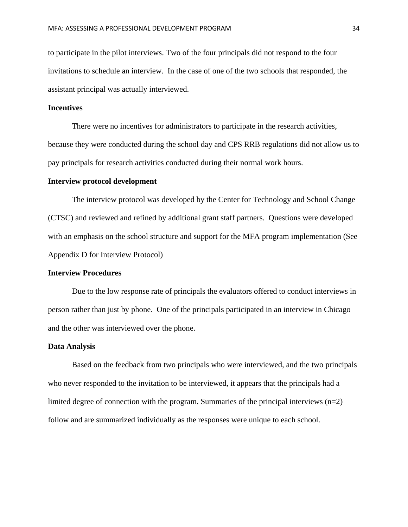to participate in the pilot interviews. Two of the four principals did not respond to the four invitations to schedule an interview. In the case of one of the two schools that responded, the assistant principal was actually interviewed.

# **Incentives**

There were no incentives for administrators to participate in the research activities, because they were conducted during the school day and CPS RRB regulations did not allow us to pay principals for research activities conducted during their normal work hours.

#### **Interview protocol development**

The interview protocol was developed by the Center for Technology and School Change (CTSC) and reviewed and refined by additional grant staff partners. Questions were developed with an emphasis on the school structure and support for the MFA program implementation (See Appendix D for Interview Protocol)

# **Interview Procedures**

Due to the low response rate of principals the evaluators offered to conduct interviews in person rather than just by phone. One of the principals participated in an interview in Chicago and the other was interviewed over the phone.

#### **Data Analysis**

Based on the feedback from two principals who were interviewed, and the two principals who never responded to the invitation to be interviewed, it appears that the principals had a limited degree of connection with the program. Summaries of the principal interviews (n=2) follow and are summarized individually as the responses were unique to each school.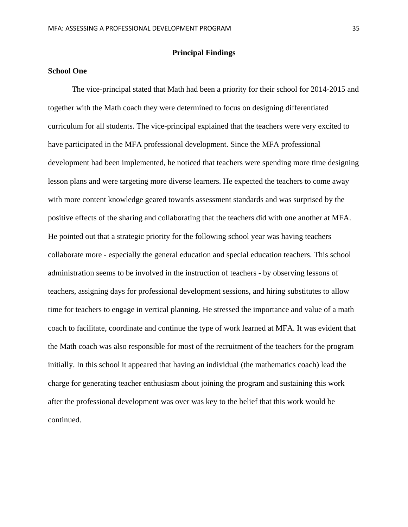# **Principal Findings**

# **School One**

The vice-principal stated that Math had been a priority for their school for 2014-2015 and together with the Math coach they were determined to focus on designing differentiated curriculum for all students. The vice-principal explained that the teachers were very excited to have participated in the MFA professional development. Since the MFA professional development had been implemented, he noticed that teachers were spending more time designing lesson plans and were targeting more diverse learners. He expected the teachers to come away with more content knowledge geared towards assessment standards and was surprised by the positive effects of the sharing and collaborating that the teachers did with one another at MFA. He pointed out that a strategic priority for the following school year was having teachers collaborate more - especially the general education and special education teachers. This school administration seems to be involved in the instruction of teachers - by observing lessons of teachers, assigning days for professional development sessions, and hiring substitutes to allow time for teachers to engage in vertical planning. He stressed the importance and value of a math coach to facilitate, coordinate and continue the type of work learned at MFA. It was evident that the Math coach was also responsible for most of the recruitment of the teachers for the program initially. In this school it appeared that having an individual (the mathematics coach) lead the charge for generating teacher enthusiasm about joining the program and sustaining this work after the professional development was over was key to the belief that this work would be continued.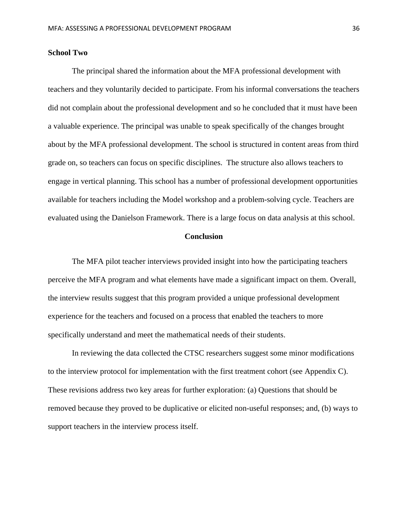# **School Two**

 The principal shared the information about the MFA professional development with teachers and they voluntarily decided to participate. From his informal conversations the teachers did not complain about the professional development and so he concluded that it must have been a valuable experience. The principal was unable to speak specifically of the changes brought about by the MFA professional development. The school is structured in content areas from third grade on, so teachers can focus on specific disciplines. The structure also allows teachers to engage in vertical planning. This school has a number of professional development opportunities available for teachers including the Model workshop and a problem-solving cycle. Teachers are evaluated using the Danielson Framework. There is a large focus on data analysis at this school.

#### **Conclusion**

The MFA pilot teacher interviews provided insight into how the participating teachers perceive the MFA program and what elements have made a significant impact on them. Overall, the interview results suggest that this program provided a unique professional development experience for the teachers and focused on a process that enabled the teachers to more specifically understand and meet the mathematical needs of their students.

In reviewing the data collected the CTSC researchers suggest some minor modifications to the interview protocol for implementation with the first treatment cohort (see Appendix C). These revisions address two key areas for further exploration: (a) Questions that should be removed because they proved to be duplicative or elicited non-useful responses; and, (b) ways to support teachers in the interview process itself.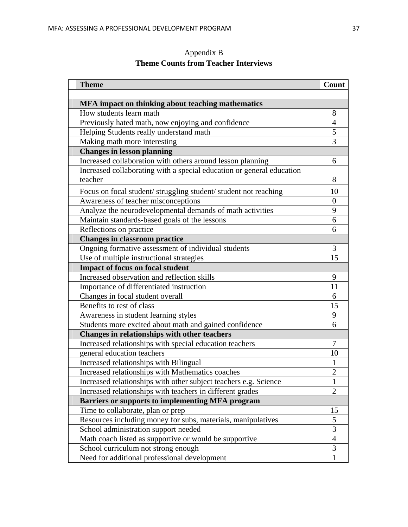| <b>Theme</b>                                                          | Count          |
|-----------------------------------------------------------------------|----------------|
|                                                                       |                |
| MFA impact on thinking about teaching mathematics                     |                |
| How students learn math                                               | 8              |
| Previously hated math, now enjoying and confidence                    | $\overline{4}$ |
| Helping Students really understand math                               | 5              |
| Making math more interesting                                          | 3              |
| <b>Changes in lesson planning</b>                                     |                |
| Increased collaboration with others around lesson planning            | 6              |
| Increased collaborating with a special education or general education |                |
| teacher                                                               | 8              |
| Focus on focal student/ struggling student/ student not reaching      | 10             |
| Awareness of teacher misconceptions                                   | $\overline{0}$ |
| Analyze the neurodevelopmental demands of math activities             | 9              |
| Maintain standards-based goals of the lessons                         | 6              |
| Reflections on practice                                               | 6              |
| <b>Changes in classroom practice</b>                                  |                |
| Ongoing formative assessment of individual students                   | 3              |
| Use of multiple instructional strategies                              | 15             |
| <b>Impact of focus on focal student</b>                               |                |
| Increased observation and reflection skills                           | 9              |
| Importance of differentiated instruction                              | 11             |
| Changes in focal student overall                                      | 6              |
| Benefits to rest of class                                             | 15             |
| Awareness in student learning styles                                  | 9              |
| Students more excited about math and gained confidence                | 6              |
| Changes in relationships with other teachers                          |                |
| Increased relationships with special education teachers               | 7              |
| general education teachers                                            | 10             |
| Increased relationships with Bilingual                                |                |
| Increased relationships with Mathematics coaches                      | $\overline{2}$ |
| Increased relationships with other subject teachers e.g. Science      | 1              |
| Increased relationships with teachers in different grades             | $\overline{2}$ |
| <b>Barriers or supports to implementing MFA program</b>               |                |
| Time to collaborate, plan or prep                                     | 15             |
| Resources including money for subs, materials, manipulatives          | 5              |
| School administration support needed                                  | 3              |
| Math coach listed as supportive or would be supportive                | $\overline{4}$ |
| School curriculum not strong enough                                   | 3              |
| Need for additional professional development                          | $\mathbf{1}$   |

Appendix B **Theme Counts from Teacher Interviews**